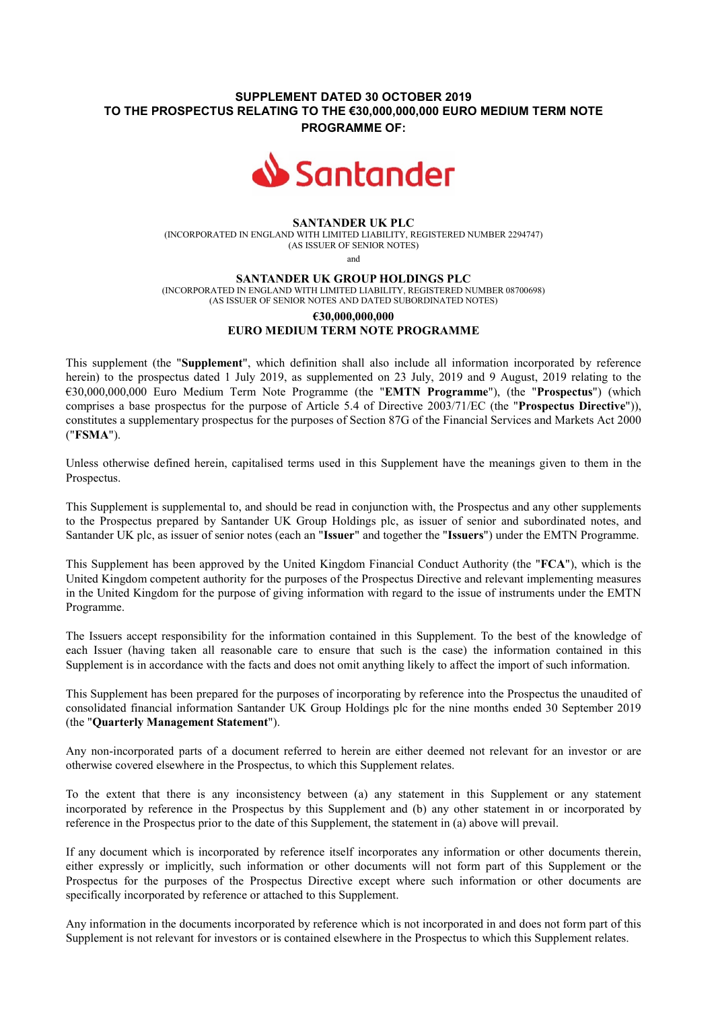## **SUPPLEMENT DATED 30 OCTOBER 2019 TO THE PROSPECTUS RELATING TO THE €30,000,000,000 EURO MEDIUM TERM NOTE PROGRAMME OF:**



### **SANTANDER UK PLC**

(INCORPORATED IN ENGLAND WITH LIMITED LIABILITY, REGISTERED NUMBER 2294747) (AS ISSUER OF SENIOR NOTES)

and

#### **SANTANDER UK GROUP HOLDINGS PLC**

(INCORPORATED IN ENGLAND WITH LIMITED LIABILITY, REGISTERED NUMBER 08700698) (AS ISSUER OF SENIOR NOTES AND DATED SUBORDINATED NOTES)

# **€30,000,000,000 EURO MEDIUM TERM NOTE PROGRAMME**

This supplement (the "**Supplement**", which definition shall also include all information incorporated by reference herein) to the prospectus dated 1 July 2019, as supplemented on 23 July, 2019 and 9 August, 2019 relating to the €30,000,000,000 Euro Medium Term Note Programme (the "**EMTN Programme**"), (the "**Prospectus**") (which comprises a base prospectus for the purpose of Article 5.4 of Directive 2003/71/EC (the "**Prospectus Directive**")), constitutes a supplementary prospectus for the purposes of Section 87G of the Financial Services and Markets Act 2000 ("**FSMA**").

Unless otherwise defined herein, capitalised terms used in this Supplement have the meanings given to them in the Prospectus.

This Supplement is supplemental to, and should be read in conjunction with, the Prospectus and any other supplements to the Prospectus prepared by Santander UK Group Holdings plc, as issuer of senior and subordinated notes, and Santander UK plc, as issuer of senior notes (each an "**Issuer**" and together the "**Issuers**") under the EMTN Programme.

This Supplement has been approved by the United Kingdom Financial Conduct Authority (the "**FCA**"), which is the United Kingdom competent authority for the purposes of the Prospectus Directive and relevant implementing measures in the United Kingdom for the purpose of giving information with regard to the issue of instruments under the EMTN Programme.

The Issuers accept responsibility for the information contained in this Supplement. To the best of the knowledge of each Issuer (having taken all reasonable care to ensure that such is the case) the information contained in this Supplement is in accordance with the facts and does not omit anything likely to affect the import of such information.

This Supplement has been prepared for the purposes of incorporating by reference into the Prospectus the unaudited of consolidated financial information Santander UK Group Holdings plc for the nine months ended 30 September 2019 (the "**Quarterly Management Statement**").

Any non-incorporated parts of a document referred to herein are either deemed not relevant for an investor or are otherwise covered elsewhere in the Prospectus, to which this Supplement relates.

To the extent that there is any inconsistency between (a) any statement in this Supplement or any statement incorporated by reference in the Prospectus by this Supplement and (b) any other statement in or incorporated by reference in the Prospectus prior to the date of this Supplement, the statement in (a) above will prevail.

If any document which is incorporated by reference itself incorporates any information or other documents therein, either expressly or implicitly, such information or other documents will not form part of this Supplement or the Prospectus for the purposes of the Prospectus Directive except where such information or other documents are specifically incorporated by reference or attached to this Supplement.

Any information in the documents incorporated by reference which is not incorporated in and does not form part of this Supplement is not relevant for investors or is contained elsewhere in the Prospectus to which this Supplement relates.